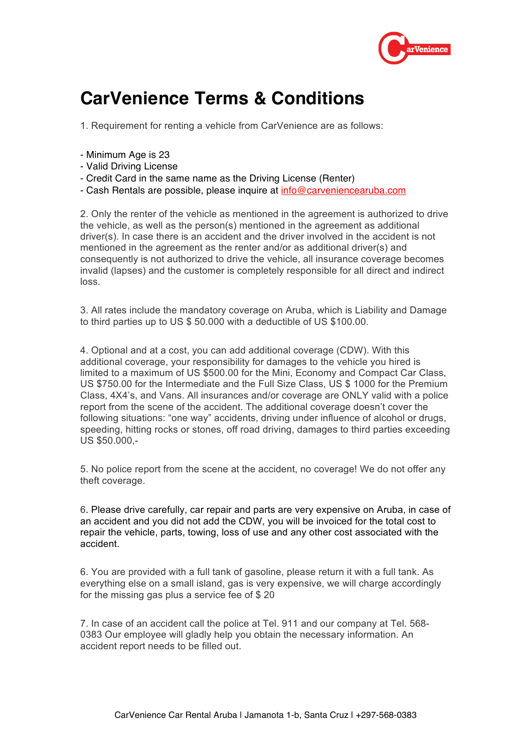

## **CarVenience Terms & Conditions**

1. Requirement for renting a vehicle from CarVenience are as follows:

- Minimum Age is 23
- Valid Driving License
- Credit Card in the same name as the Driving License (Renter)
- Cash Rentals are possible, please inquire at info@carveniencearuba.com

2. Only the renter of the vehicle as mentioned in the agreement is authorized to drive the vehicle, as well as the person(s) mentioned in the agreement as additional driver(s). In case there is an accident and the driver involved in the accident is not mentioned in the agreement as the renter and/or as additional driver(s) and consequently is not authorized to drive the vehicle, all insurance coverage becomes invalid (lapses) and the customer is completely responsible for all direct and indirect loss.

3. All rates include the mandatory coverage on Aruba, which is Liability and Damage to third parties up to US \$ 50.000 with a deductible of US \$100.00.

4. Optional and at a cost, you can add additional coverage (CDW). With this additional coverage, your responsibility for damages to the vehicle you hired is limited to a maximum of US \$500.00 for the Mini, Economy and Compact Car Class, US \$750.00 for the Intermediate and the Full Size Class, US \$ 1000 for the Premium Class, 4X4's, and Vans. All insurances and/or coverage are ONLY valid with a police report from the scene of the accident. The additional coverage doesn't cover the following situations: "one way" accidents, driving under influence of alcohol or drugs, speeding, hitting rocks or stones, off road driving, damages to third parties exceeding US \$50.000,-

5. No police report from the scene at the accident, no coverage! We do not offer any theft coverage.

6. Please drive carefully, car repair and parts are very expensive on Aruba, in case of an accident and you did not add the CDW, you will be invoiced for the total cost to repair the vehicle, parts, towing, loss of use and any other cost associated with the accident.

6. You are provided with a full tank of gasoline, please return it with a full tank. As everything else on a small island, gas is very expensive, we will charge accordingly for the missing gas plus a service fee of \$20

7. In case of an accident call the police at Tel. 911 and our company at Tel. 568- 0383 Our employee will gladly help you obtain the necessary information. An accident report needs to be filled out.